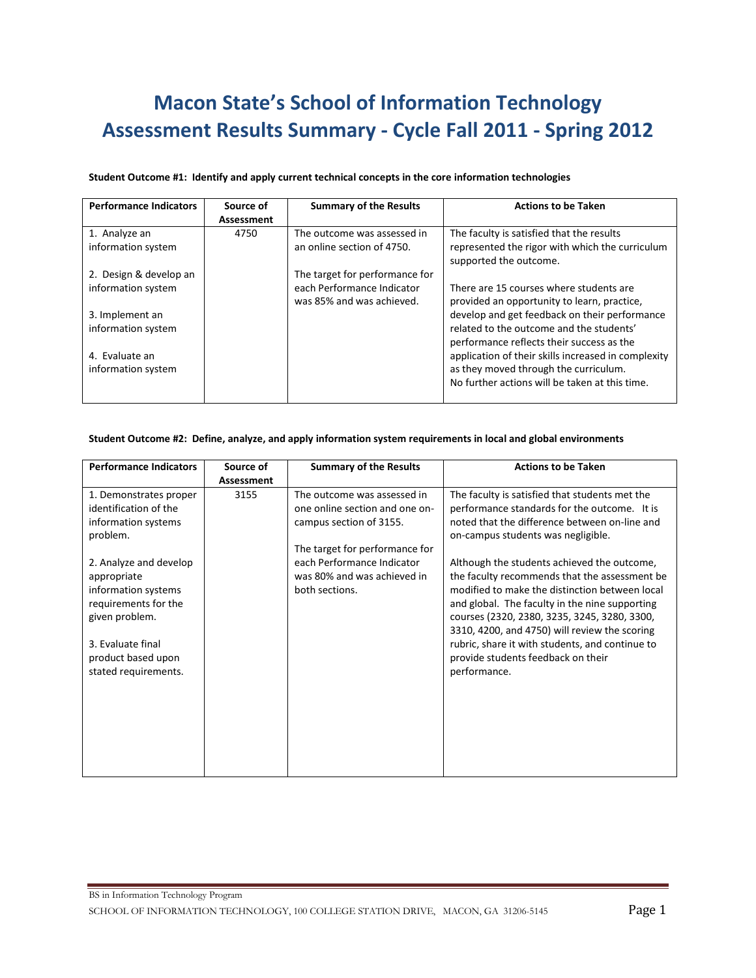# **Macon State's School of Information Technology Assessment Results Summary - Cycle Fall 2011 - Spring 2012**

## **Student Outcome #1: Identify and apply current technical concepts in the core information technologies**

| <b>Performance Indicators</b> | Source of  | <b>Summary of the Results</b>  | <b>Actions to be Taken</b>                          |
|-------------------------------|------------|--------------------------------|-----------------------------------------------------|
|                               | Assessment |                                |                                                     |
| 1. Analyze an                 | 4750       | The outcome was assessed in    | The faculty is satisfied that the results           |
| information system            |            | an online section of 4750.     | represented the rigor with which the curriculum     |
|                               |            |                                | supported the outcome.                              |
| 2. Design & develop an        |            | The target for performance for |                                                     |
| information system            |            | each Performance Indicator     | There are 15 courses where students are             |
|                               |            | was 85% and was achieved.      | provided an opportunity to learn, practice,         |
| 3. Implement an               |            |                                | develop and get feedback on their performance       |
| information system            |            |                                | related to the outcome and the students'            |
|                               |            |                                | performance reflects their success as the           |
| 4. Evaluate an                |            |                                | application of their skills increased in complexity |
| information system            |            |                                | as they moved through the curriculum.               |
|                               |            |                                | No further actions will be taken at this time.      |
|                               |            |                                |                                                     |

#### **Student Outcome #2: Define, analyze, and apply information system requirements in local and global environments**

| <b>Performance Indicators</b> | Source of  | <b>Summary of the Results</b>  | <b>Actions to be Taken</b>                      |
|-------------------------------|------------|--------------------------------|-------------------------------------------------|
|                               | Assessment |                                |                                                 |
| 1. Demonstrates proper        | 3155       | The outcome was assessed in    | The faculty is satisfied that students met the  |
| identification of the         |            | one online section and one on- | performance standards for the outcome. It is    |
| information systems           |            | campus section of 3155.        | noted that the difference between on-line and   |
| problem.                      |            |                                | on-campus students was negligible.              |
|                               |            | The target for performance for |                                                 |
| 2. Analyze and develop        |            | each Performance Indicator     | Although the students achieved the outcome,     |
| appropriate                   |            | was 80% and was achieved in    | the faculty recommends that the assessment be   |
| information systems           |            | both sections.                 | modified to make the distinction between local  |
| requirements for the          |            |                                | and global. The faculty in the nine supporting  |
| given problem.                |            |                                | courses (2320, 2380, 3235, 3245, 3280, 3300,    |
|                               |            |                                | 3310, 4200, and 4750) will review the scoring   |
| 3. Evaluate final             |            |                                | rubric, share it with students, and continue to |
| product based upon            |            |                                | provide students feedback on their              |
| stated requirements.          |            |                                | performance.                                    |
|                               |            |                                |                                                 |
|                               |            |                                |                                                 |
|                               |            |                                |                                                 |
|                               |            |                                |                                                 |
|                               |            |                                |                                                 |
|                               |            |                                |                                                 |
|                               |            |                                |                                                 |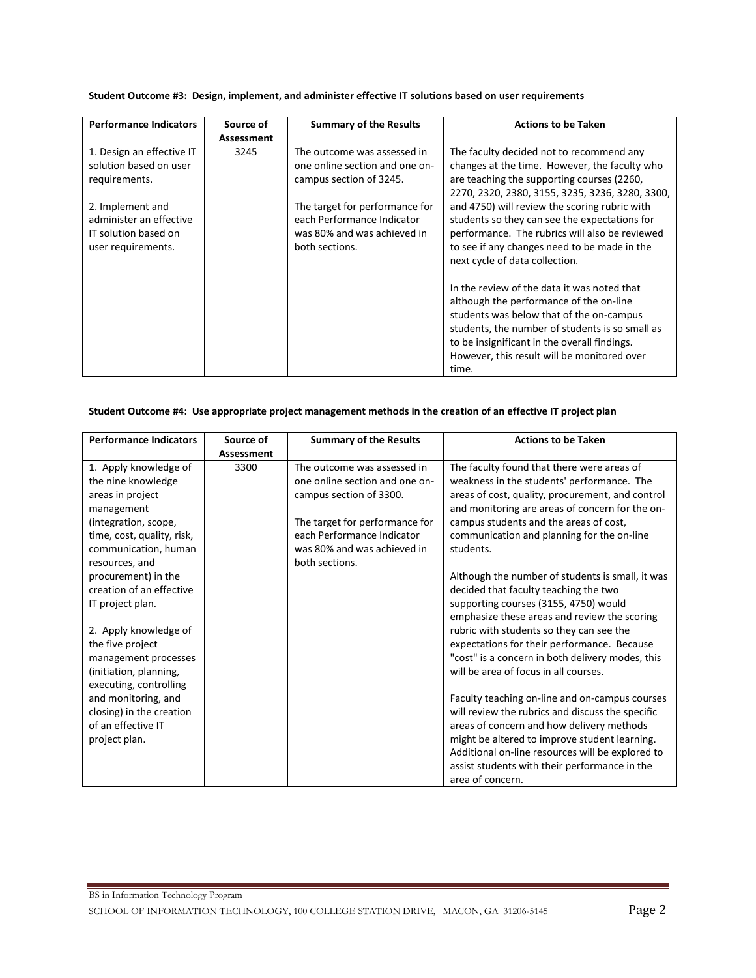| <b>Performance Indicators</b> | Source of  | <b>Summary of the Results</b>  | <b>Actions to be Taken</b>                      |
|-------------------------------|------------|--------------------------------|-------------------------------------------------|
|                               | Assessment |                                |                                                 |
| 1. Design an effective IT     | 3245       | The outcome was assessed in    | The faculty decided not to recommend any        |
| solution based on user        |            | one online section and one on- | changes at the time. However, the faculty who   |
| requirements.                 |            | campus section of 3245.        | are teaching the supporting courses (2260,      |
|                               |            |                                | 2270, 2320, 2380, 3155, 3235, 3236, 3280, 3300, |
| 2. Implement and              |            | The target for performance for | and 4750) will review the scoring rubric with   |
| administer an effective       |            | each Performance Indicator     | students so they can see the expectations for   |
| IT solution based on          |            | was 80% and was achieved in    | performance. The rubrics will also be reviewed  |
| user requirements.            |            | both sections.                 | to see if any changes need to be made in the    |
|                               |            |                                | next cycle of data collection.                  |
|                               |            |                                |                                                 |
|                               |            |                                | In the review of the data it was noted that     |
|                               |            |                                | although the performance of the on-line         |
|                               |            |                                | students was below that of the on-campus        |
|                               |            |                                | students, the number of students is so small as |
|                               |            |                                | to be insignificant in the overall findings.    |
|                               |            |                                | However, this result will be monitored over     |
|                               |            |                                | time.                                           |

### **Student Outcome #3: Design, implement, and administer effective IT solutions based on user requirements**

### **Student Outcome #4: Use appropriate project management methods in the creation of an effective IT project plan**

| <b>Performance Indicators</b> | Source of  | <b>Summary of the Results</b>  | <b>Actions to be Taken</b>                       |
|-------------------------------|------------|--------------------------------|--------------------------------------------------|
|                               | Assessment |                                |                                                  |
| 1. Apply knowledge of         | 3300       | The outcome was assessed in    | The faculty found that there were areas of       |
| the nine knowledge            |            | one online section and one on- | weakness in the students' performance. The       |
| areas in project              |            | campus section of 3300.        | areas of cost, quality, procurement, and control |
| management                    |            |                                | and monitoring are areas of concern for the on-  |
| (integration, scope,          |            | The target for performance for | campus students and the areas of cost,           |
| time, cost, quality, risk,    |            | each Performance Indicator     | communication and planning for the on-line       |
| communication, human          |            | was 80% and was achieved in    | students.                                        |
| resources, and                |            | both sections.                 |                                                  |
| procurement) in the           |            |                                | Although the number of students is small, it was |
| creation of an effective      |            |                                | decided that faculty teaching the two            |
| IT project plan.              |            |                                | supporting courses (3155, 4750) would            |
|                               |            |                                | emphasize these areas and review the scoring     |
| 2. Apply knowledge of         |            |                                | rubric with students so they can see the         |
| the five project              |            |                                | expectations for their performance. Because      |
| management processes          |            |                                | "cost" is a concern in both delivery modes, this |
| (initiation, planning,        |            |                                | will be area of focus in all courses.            |
| executing, controlling        |            |                                |                                                  |
| and monitoring, and           |            |                                | Faculty teaching on-line and on-campus courses   |
| closing) in the creation      |            |                                | will review the rubrics and discuss the specific |
| of an effective IT            |            |                                | areas of concern and how delivery methods        |
| project plan.                 |            |                                | might be altered to improve student learning.    |
|                               |            |                                | Additional on-line resources will be explored to |
|                               |            |                                | assist students with their performance in the    |
|                               |            |                                | area of concern.                                 |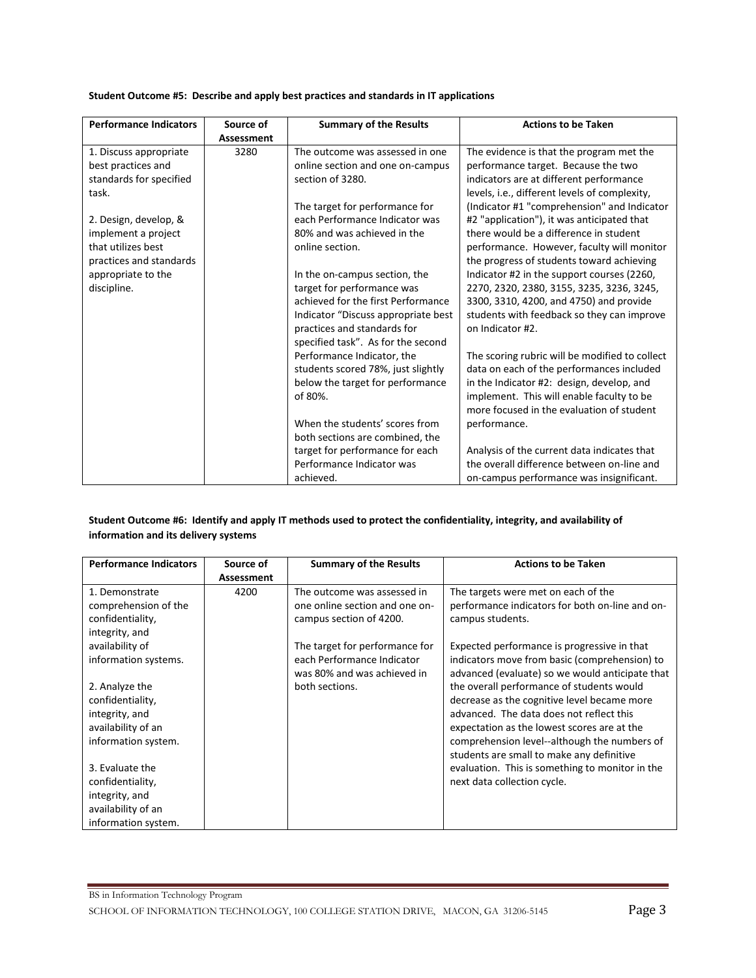| <b>Performance Indicators</b> | Source of                 | <b>Summary of the Results</b>       | <b>Actions to be Taken</b>                     |
|-------------------------------|---------------------------|-------------------------------------|------------------------------------------------|
| 1. Discuss appropriate        | <b>Assessment</b><br>3280 | The outcome was assessed in one     | The evidence is that the program met the       |
| best practices and            |                           | online section and one on-campus    | performance target. Because the two            |
| standards for specified       |                           | section of 3280.                    | indicators are at different performance        |
| task.                         |                           |                                     | levels, i.e., different levels of complexity,  |
|                               |                           | The target for performance for      | (Indicator #1 "comprehension" and Indicator    |
| 2. Design, develop, &         |                           | each Performance Indicator was      | #2 "application"), it was anticipated that     |
| implement a project           |                           | 80% and was achieved in the         | there would be a difference in student         |
| that utilizes best            |                           | online section.                     | performance. However, faculty will monitor     |
| practices and standards       |                           |                                     | the progress of students toward achieving      |
| appropriate to the            |                           | In the on-campus section, the       | Indicator #2 in the support courses (2260,     |
| discipline.                   |                           | target for performance was          | 2270, 2320, 2380, 3155, 3235, 3236, 3245,      |
|                               |                           | achieved for the first Performance  | 3300, 3310, 4200, and 4750) and provide        |
|                               |                           | Indicator "Discuss appropriate best | students with feedback so they can improve     |
|                               |                           | practices and standards for         | on Indicator #2.                               |
|                               |                           | specified task". As for the second  |                                                |
|                               |                           | Performance Indicator, the          | The scoring rubric will be modified to collect |
|                               |                           | students scored 78%, just slightly  | data on each of the performances included      |
|                               |                           | below the target for performance    | in the Indicator #2: design, develop, and      |
|                               |                           | of 80%.                             | implement. This will enable faculty to be      |
|                               |                           |                                     | more focused in the evaluation of student      |
|                               |                           | When the students' scores from      | performance.                                   |
|                               |                           | both sections are combined, the     |                                                |
|                               |                           | target for performance for each     | Analysis of the current data indicates that    |
|                               |                           | Performance Indicator was           | the overall difference between on-line and     |
|                               |                           | achieved.                           | on-campus performance was insignificant.       |

### **Student Outcome #5: Describe and apply best practices and standards in IT applications**

## **Student Outcome #6: Identify and apply IT methods used to protect the confidentiality, integrity, and availability of information and its delivery systems**

| <b>Performance Indicators</b> | Source of  | <b>Summary of the Results</b>  | <b>Actions to be Taken</b>                      |
|-------------------------------|------------|--------------------------------|-------------------------------------------------|
|                               | Assessment |                                |                                                 |
| 1. Demonstrate                | 4200       | The outcome was assessed in    | The targets were met on each of the             |
| comprehension of the          |            | one online section and one on- | performance indicators for both on-line and on- |
| confidentiality,              |            | campus section of 4200.        | campus students.                                |
| integrity, and                |            |                                |                                                 |
| availability of               |            | The target for performance for | Expected performance is progressive in that     |
| information systems.          |            | each Performance Indicator     | indicators move from basic (comprehension) to   |
|                               |            | was 80% and was achieved in    | advanced (evaluate) so we would anticipate that |
| 2. Analyze the                |            | both sections.                 | the overall performance of students would       |
| confidentiality,              |            |                                | decrease as the cognitive level became more     |
| integrity, and                |            |                                | advanced. The data does not reflect this        |
| availability of an            |            |                                | expectation as the lowest scores are at the     |
| information system.           |            |                                | comprehension level--although the numbers of    |
|                               |            |                                | students are small to make any definitive       |
| 3. Evaluate the               |            |                                | evaluation. This is something to monitor in the |
| confidentiality,              |            |                                | next data collection cycle.                     |
| integrity, and                |            |                                |                                                 |
| availability of an            |            |                                |                                                 |
| information system.           |            |                                |                                                 |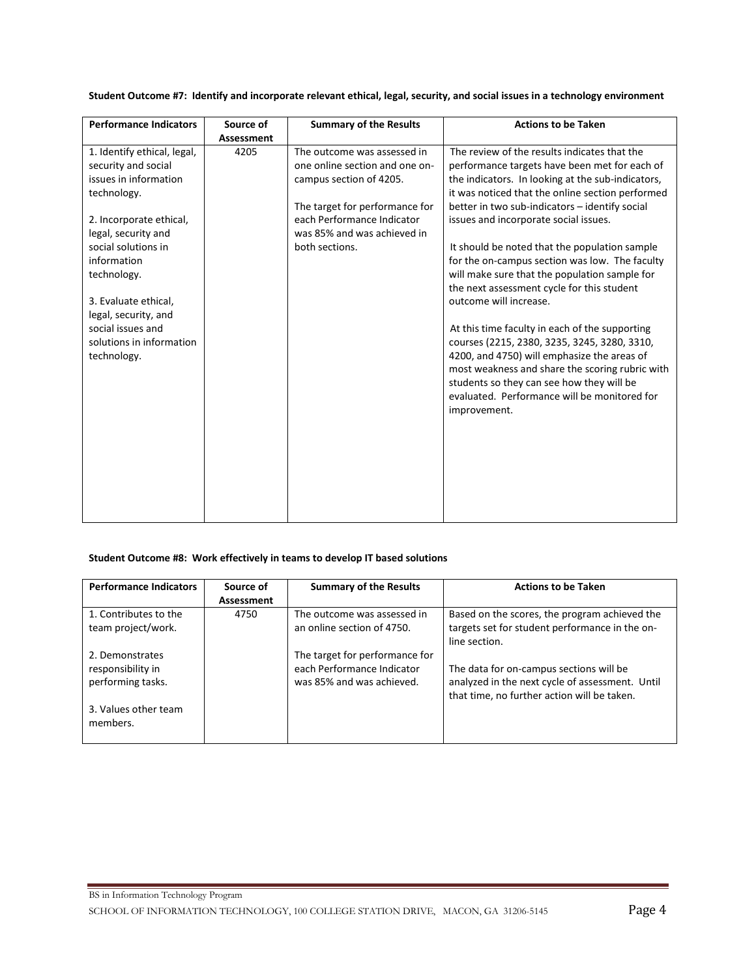| <b>Performance Indicators</b>                 | Source of  | <b>Summary of the Results</b>  | <b>Actions to be Taken</b>                                                                     |
|-----------------------------------------------|------------|--------------------------------|------------------------------------------------------------------------------------------------|
|                                               | Assessment |                                |                                                                                                |
| 1. Identify ethical, legal,                   | 4205       | The outcome was assessed in    | The review of the results indicates that the                                                   |
| security and social                           |            | one online section and one on- | performance targets have been met for each of                                                  |
| issues in information                         |            | campus section of 4205.        | the indicators. In looking at the sub-indicators,                                              |
| technology.                                   |            |                                | it was noticed that the online section performed                                               |
|                                               |            | The target for performance for | better in two sub-indicators - identify social                                                 |
| 2. Incorporate ethical,                       |            | each Performance Indicator     | issues and incorporate social issues.                                                          |
| legal, security and                           |            | was 85% and was achieved in    |                                                                                                |
| social solutions in                           |            | both sections.                 | It should be noted that the population sample                                                  |
| information                                   |            |                                | for the on-campus section was low. The faculty                                                 |
| technology.                                   |            |                                | will make sure that the population sample for                                                  |
|                                               |            |                                | the next assessment cycle for this student                                                     |
| 3. Evaluate ethical.                          |            |                                | outcome will increase.                                                                         |
| legal, security, and                          |            |                                |                                                                                                |
| social issues and<br>solutions in information |            |                                | At this time faculty in each of the supporting                                                 |
|                                               |            |                                | courses (2215, 2380, 3235, 3245, 3280, 3310,                                                   |
| technology.                                   |            |                                | 4200, and 4750) will emphasize the areas of<br>most weakness and share the scoring rubric with |
|                                               |            |                                | students so they can see how they will be                                                      |
|                                               |            |                                | evaluated. Performance will be monitored for                                                   |
|                                               |            |                                | improvement.                                                                                   |
|                                               |            |                                |                                                                                                |
|                                               |            |                                |                                                                                                |
|                                               |            |                                |                                                                                                |
|                                               |            |                                |                                                                                                |
|                                               |            |                                |                                                                                                |
|                                               |            |                                |                                                                                                |
|                                               |            |                                |                                                                                                |
|                                               |            |                                |                                                                                                |

**Student Outcome #7: Identify and incorporate relevant ethical, legal, security, and social issues in a technology environment**

### **Student Outcome #8: Work effectively in teams to develop IT based solutions**

| <b>Performance Indicators</b> | Source of  | <b>Summary of the Results</b>  | <b>Actions to be Taken</b>                      |
|-------------------------------|------------|--------------------------------|-------------------------------------------------|
|                               | Assessment |                                |                                                 |
| 1. Contributes to the         | 4750       | The outcome was assessed in    | Based on the scores, the program achieved the   |
| team project/work.            |            | an online section of 4750.     | targets set for student performance in the on-  |
|                               |            |                                | line section.                                   |
| 2. Demonstrates               |            | The target for performance for |                                                 |
| responsibility in             |            | each Performance Indicator     | The data for on-campus sections will be         |
| performing tasks.             |            | was 85% and was achieved.      | analyzed in the next cycle of assessment. Until |
|                               |            |                                | that time, no further action will be taken.     |
| 3. Values other team          |            |                                |                                                 |
| members.                      |            |                                |                                                 |
|                               |            |                                |                                                 |